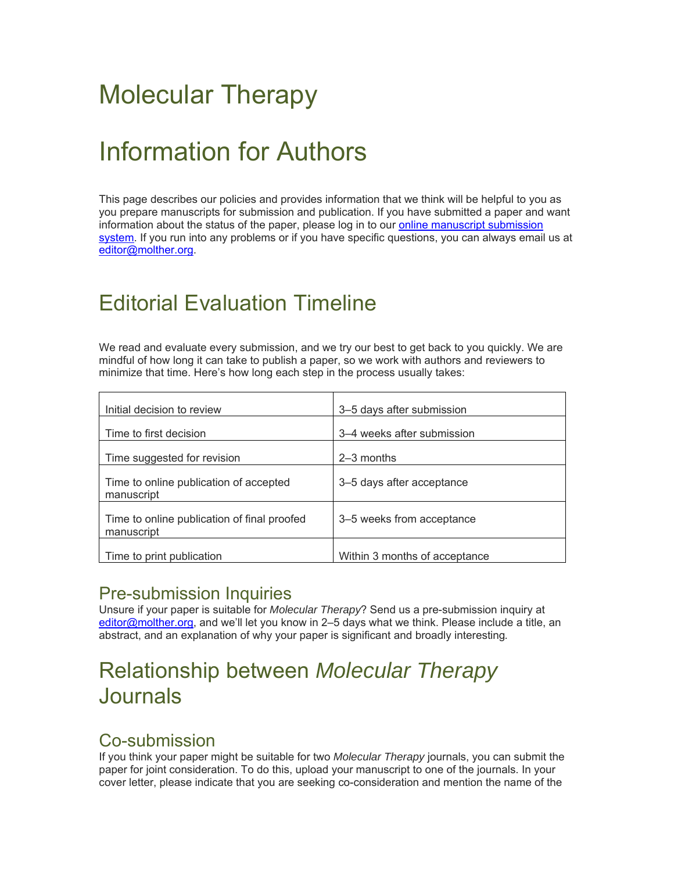# Molecular Therapy

# Information for Authors

This page describes our policies and provides information that we think will be helpful to you as you prepare manuscripts for submission and publication. If you have submitted a paper and want information about the status of the paper, please log in to our online manuscript submission system. If you run into any problems or if you have specific questions, you can always email us at editor@molther.org.

# Editorial Evaluation Timeline

We read and evaluate every submission, and we try our best to get back to you quickly. We are mindful of how long it can take to publish a paper, so we work with authors and reviewers to minimize that time. Here's how long each step in the process usually takes:

| Initial decision to review                                | 3-5 days after submission     |
|-----------------------------------------------------------|-------------------------------|
| Time to first decision                                    | 3–4 weeks after submission    |
| Time suggested for revision                               | $2-3$ months                  |
| Time to online publication of accepted<br>manuscript      | 3-5 days after acceptance     |
| Time to online publication of final proofed<br>manuscript | 3–5 weeks from acceptance     |
| Time to print publication                                 | Within 3 months of acceptance |

### Pre-submission Inquiries

Unsure if your paper is suitable for *Molecular Therapy*? Send us a pre-submission inquiry at editor@molther.org, and we'll let you know in 2–5 days what we think. Please include a title, an abstract, and an explanation of why your paper is significant and broadly interesting*.* 

# Relationship between *Molecular Therapy* Journals

### Co-submission

If you think your paper might be suitable for two *Molecular Therapy* journals, you can submit the paper for joint consideration. To do this, upload your manuscript to one of the journals. In your cover letter, please indicate that you are seeking co-consideration and mention the name of the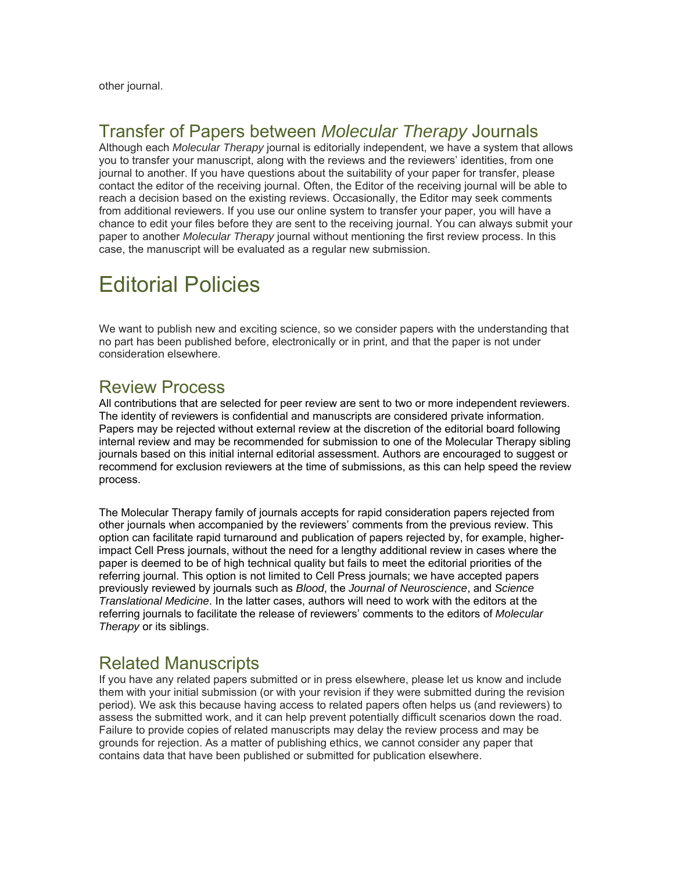other journal.

### Transfer of Papers between *Molecular Therapy* Journals

Although each *Molecular Therapy* journal is editorially independent, we have a system that allows you to transfer your manuscript, along with the reviews and the reviewers' identities, from one journal to another. If you have questions about the suitability of your paper for transfer, please contact the editor of the receiving journal. Often, the Editor of the receiving journal will be able to reach a decision based on the existing reviews. Occasionally, the Editor may seek comments from additional reviewers. If you use our online system to transfer your paper, you will have a chance to edit your files before they are sent to the receiving journal. You can always submit your paper to another *Molecular Therapy* journal without mentioning the first review process. In this case, the manuscript will be evaluated as a regular new submission.

# Editorial Policies

We want to publish new and exciting science, so we consider papers with the understanding that no part has been published before, electronically or in print, and that the paper is not under consideration elsewhere.

### Review Process

All contributions that are selected for peer review are sent to two or more independent reviewers. The identity of reviewers is confidential and manuscripts are considered private information. Papers may be rejected without external review at the discretion of the editorial board following internal review and may be recommended for submission to one of the Molecular Therapy sibling journals based on this initial internal editorial assessment. Authors are encouraged to suggest or recommend for exclusion reviewers at the time of submissions, as this can help speed the review process.

The Molecular Therapy family of journals accepts for rapid consideration papers rejected from other journals when accompanied by the reviewers' comments from the previous review. This option can facilitate rapid turnaround and publication of papers rejected by, for example, higherimpact Cell Press journals, without the need for a lengthy additional review in cases where the paper is deemed to be of high technical quality but fails to meet the editorial priorities of the referring journal. This option is not limited to Cell Press journals; we have accepted papers previously reviewed by journals such as *Blood*, the *Journal of Neuroscience*, and *Science Translational Medicine*. In the latter cases, authors will need to work with the editors at the referring journals to facilitate the release of reviewers' comments to the editors of *Molecular Therapy* or its siblings.

### Related Manuscripts

If you have any related papers submitted or in press elsewhere, please let us know and include them with your initial submission (or with your revision if they were submitted during the revision period). We ask this because having access to related papers often helps us (and reviewers) to assess the submitted work, and it can help prevent potentially difficult scenarios down the road. Failure to provide copies of related manuscripts may delay the review process and may be grounds for rejection. As a matter of publishing ethics, we cannot consider any paper that contains data that have been published or submitted for publication elsewhere.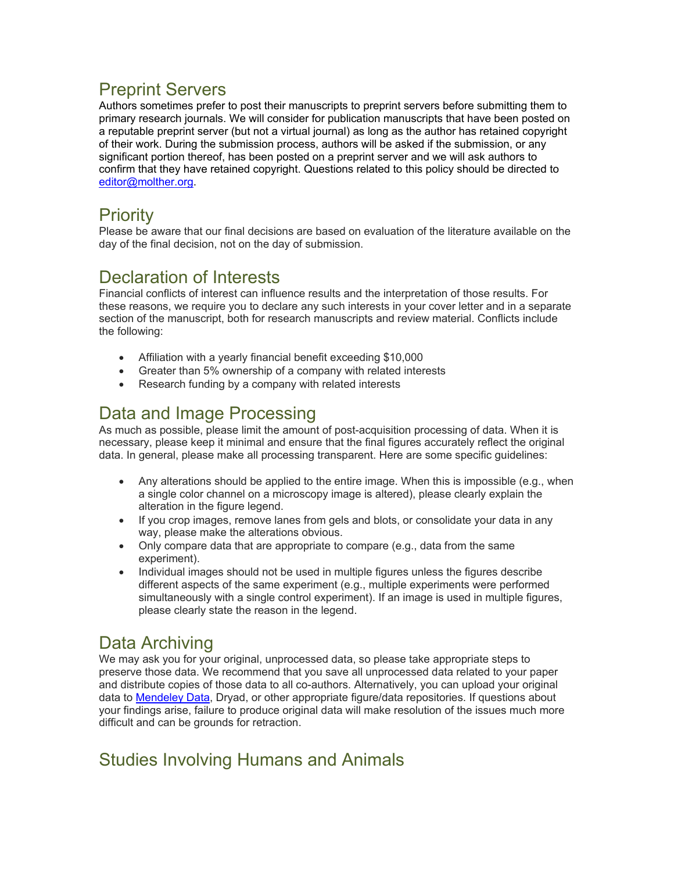## Preprint Servers

Authors sometimes prefer to post their manuscripts to preprint servers before submitting them to primary research journals. We will consider for publication manuscripts that have been posted on a reputable preprint server (but not a virtual journal) as long as the author has retained copyright of their work. During the submission process, authors will be asked if the submission, or any significant portion thereof, has been posted on a preprint server and we will ask authors to confirm that they have retained copyright. Questions related to this policy should be directed to editor@molther.org.

## Priority

Please be aware that our final decisions are based on evaluation of the literature available on the day of the final decision, not on the day of submission.

### Declaration of Interests

Financial conflicts of interest can influence results and the interpretation of those results. For these reasons, we require you to declare any such interests in your cover letter and in a separate section of the manuscript, both for research manuscripts and review material. Conflicts include the following:

- Affiliation with a yearly financial benefit exceeding \$10,000
- Greater than 5% ownership of a company with related interests
- Research funding by a company with related interests

## Data and Image Processing

As much as possible, please limit the amount of post-acquisition processing of data. When it is necessary, please keep it minimal and ensure that the final figures accurately reflect the original data. In general, please make all processing transparent. Here are some specific guidelines:

- Any alterations should be applied to the entire image. When this is impossible (e.g., when a single color channel on a microscopy image is altered), please clearly explain the alteration in the figure legend.
- If you crop images, remove lanes from gels and blots, or consolidate your data in any way, please make the alterations obvious.
- Only compare data that are appropriate to compare (e.g., data from the same experiment).
- Individual images should not be used in multiple figures unless the figures describe different aspects of the same experiment (e.g., multiple experiments were performed simultaneously with a single control experiment). If an image is used in multiple figures, please clearly state the reason in the legend.

# Data Archiving

We may ask you for your original, unprocessed data, so please take appropriate steps to preserve those data. We recommend that you save all unprocessed data related to your paper and distribute copies of those data to all co-authors. Alternatively, you can upload your original data to Mendeley Data, Dryad, or other appropriate figure/data repositories. If questions about your findings arise, failure to produce original data will make resolution of the issues much more difficult and can be grounds for retraction.

# Studies Involving Humans and Animals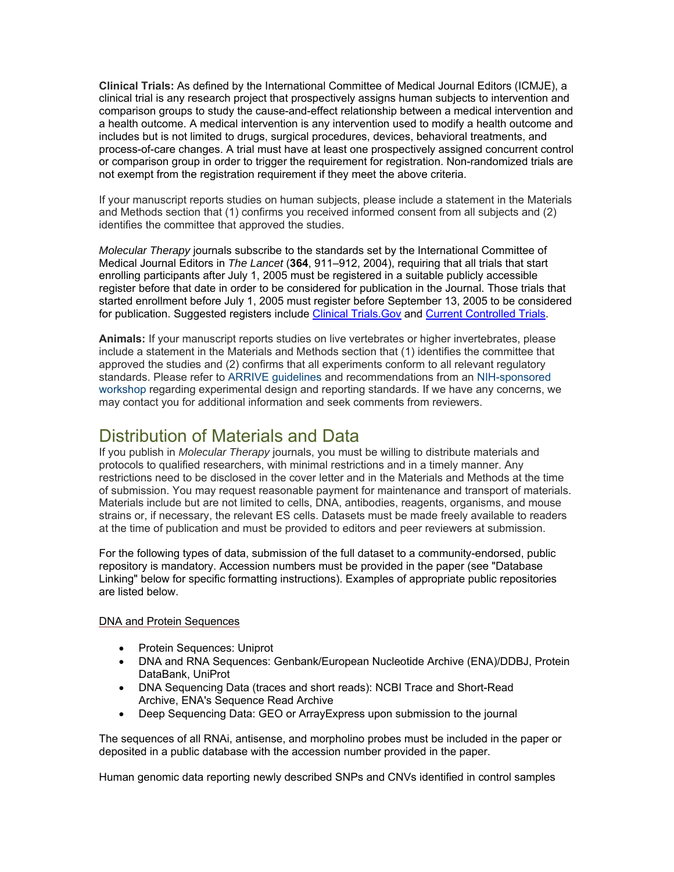**Clinical Trials:** As defined by the International Committee of Medical Journal Editors (ICMJE), a clinical trial is any research project that prospectively assigns human subjects to intervention and comparison groups to study the cause-and-effect relationship between a medical intervention and a health outcome. A medical intervention is any intervention used to modify a health outcome and includes but is not limited to drugs, surgical procedures, devices, behavioral treatments, and process-of-care changes. A trial must have at least one prospectively assigned concurrent control or comparison group in order to trigger the requirement for registration. Non-randomized trials are not exempt from the registration requirement if they meet the above criteria.

If your manuscript reports studies on human subjects, please include a statement in the Materials and Methods section that (1) confirms you received informed consent from all subjects and (2) identifies the committee that approved the studies.

*Molecular Therapy* journals subscribe to the standards set by the International Committee of Medical Journal Editors in *The Lancet* (**364**, 911–912, 2004), requiring that all trials that start enrolling participants after July 1, 2005 must be registered in a suitable publicly accessible register before that date in order to be considered for publication in the Journal. Those trials that started enrollment before July 1, 2005 must register before September 13, 2005 to be considered for publication. Suggested registers include Clinical Trials. Gov and Current Controlled Trials.

**Animals:** If your manuscript reports studies on live vertebrates or higher invertebrates, please include a statement in the Materials and Methods section that (1) identifies the committee that approved the studies and (2) confirms that all experiments conform to all relevant regulatory standards. Please refer to ARRIVE guidelines and recommendations from an NIH-sponsored workshop regarding experimental design and reporting standards. If we have any concerns, we may contact you for additional information and seek comments from reviewers.

### Distribution of Materials and Data

If you publish in *Molecular Therapy* journals, you must be willing to distribute materials and protocols to qualified researchers, with minimal restrictions and in a timely manner. Any restrictions need to be disclosed in the cover letter and in the Materials and Methods at the time of submission. You may request reasonable payment for maintenance and transport of materials. Materials include but are not limited to cells, DNA, antibodies, reagents, organisms, and mouse strains or, if necessary, the relevant ES cells. Datasets must be made freely available to readers at the time of publication and must be provided to editors and peer reviewers at submission.

For the following types of data, submission of the full dataset to a community-endorsed, public repository is mandatory. Accession numbers must be provided in the paper (see "Database Linking" below for specific formatting instructions). Examples of appropriate public repositories are listed below.

#### DNA and Protein Sequences

- Protein Sequences: Uniprot
- DNA and RNA Sequences: Genbank/European Nucleotide Archive (ENA)/DDBJ, Protein DataBank, UniProt
- DNA Sequencing Data (traces and short reads): NCBI Trace and Short-Read Archive, ENA's Sequence Read Archive
- Deep Sequencing Data: GEO or ArrayExpress upon submission to the journal

The sequences of all RNAi, antisense, and morpholino probes must be included in the paper or deposited in a public database with the accession number provided in the paper.

Human genomic data reporting newly described SNPs and CNVs identified in control samples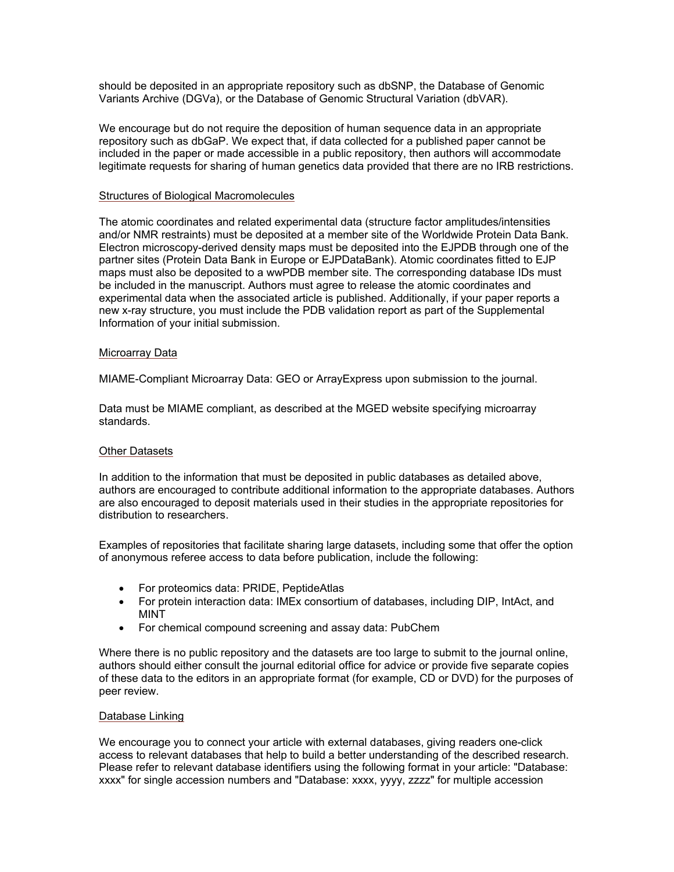should be deposited in an appropriate repository such as dbSNP, the Database of Genomic Variants Archive (DGVa), or the Database of Genomic Structural Variation (dbVAR).

We encourage but do not require the deposition of human sequence data in an appropriate repository such as dbGaP. We expect that, if data collected for a published paper cannot be included in the paper or made accessible in a public repository, then authors will accommodate legitimate requests for sharing of human genetics data provided that there are no IRB restrictions.

#### Structures of Biological Macromolecules

The atomic coordinates and related experimental data (structure factor amplitudes/intensities and/or NMR restraints) must be deposited at a member site of the Worldwide Protein Data Bank. Electron microscopy-derived density maps must be deposited into the EJPDB through one of the partner sites (Protein Data Bank in Europe or EJPDataBank). Atomic coordinates fitted to EJP maps must also be deposited to a wwPDB member site. The corresponding database IDs must be included in the manuscript. Authors must agree to release the atomic coordinates and experimental data when the associated article is published. Additionally, if your paper reports a new x-ray structure, you must include the PDB validation report as part of the Supplemental Information of your initial submission.

#### Microarray Data

MIAME-Compliant Microarray Data: GEO or ArrayExpress upon submission to the journal.

Data must be MIAME compliant, as described at the MGED website specifying microarray standards.

#### Other Datasets

In addition to the information that must be deposited in public databases as detailed above, authors are encouraged to contribute additional information to the appropriate databases. Authors are also encouraged to deposit materials used in their studies in the appropriate repositories for distribution to researchers.

Examples of repositories that facilitate sharing large datasets, including some that offer the option of anonymous referee access to data before publication, include the following:

- For proteomics data: PRIDE, PeptideAtlas
- For protein interaction data: IMEx consortium of databases, including DIP, IntAct, and MINT
- For chemical compound screening and assay data: PubChem

Where there is no public repository and the datasets are too large to submit to the journal online, authors should either consult the journal editorial office for advice or provide five separate copies of these data to the editors in an appropriate format (for example, CD or DVD) for the purposes of peer review.

#### Database Linking

We encourage you to connect your article with external databases, giving readers one-click access to relevant databases that help to build a better understanding of the described research. Please refer to relevant database identifiers using the following format in your article: "Database: xxxx" for single accession numbers and "Database: xxxx, yyyy, zzzz" for multiple accession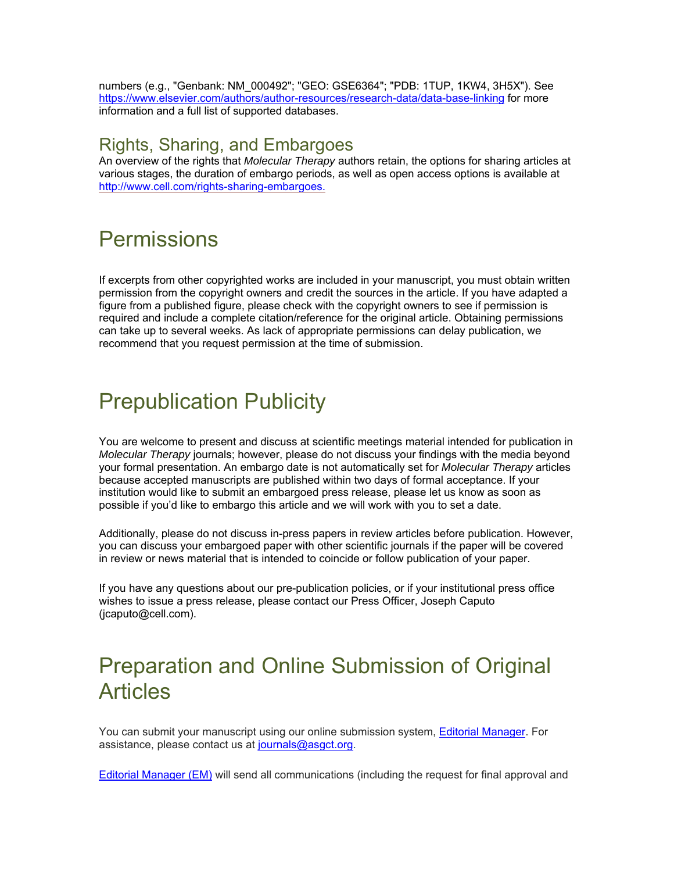numbers (e.g., "Genbank: NM\_000492"; "GEO: GSE6364"; "PDB: 1TUP, 1KW4, 3H5X"). See https://www.elsevier.com/authors/author-resources/research-data/data-base-linking for more information and a full list of supported databases.

#### Rights, Sharing, and Embargoes

An overview of the rights that *Molecular Therapy* authors retain, the options for sharing articles at various stages, the duration of embargo periods, as well as open access options is available at http://www.cell.com/rights-sharing-embargoes.

# **Permissions**

If excerpts from other copyrighted works are included in your manuscript, you must obtain written permission from the copyright owners and credit the sources in the article. If you have adapted a figure from a published figure, please check with the copyright owners to see if permission is required and include a complete citation/reference for the original article. Obtaining permissions can take up to several weeks. As lack of appropriate permissions can delay publication, we recommend that you request permission at the time of submission.

# Prepublication Publicity

You are welcome to present and discuss at scientific meetings material intended for publication in *Molecular Therapy* journals; however, please do not discuss your findings with the media beyond your formal presentation. An embargo date is not automatically set for *Molecular Therapy* articles because accepted manuscripts are published within two days of formal acceptance. If your institution would like to submit an embargoed press release, please let us know as soon as possible if you'd like to embargo this article and we will work with you to set a date.

Additionally, please do not discuss in-press papers in review articles before publication. However, you can discuss your embargoed paper with other scientific journals if the paper will be covered in review or news material that is intended to coincide or follow publication of your paper.

If you have any questions about our pre-publication policies, or if your institutional press office wishes to issue a press release, please contact our Press Officer, Joseph Caputo (jcaputo@cell.com).

# Preparation and Online Submission of Original **Articles**

You can submit your manuscript using our online submission system, Editorial Manager. For assistance, please contact us at journals@asgct.org.

Editorial Manager (EM) will send all communications (including the request for final approval and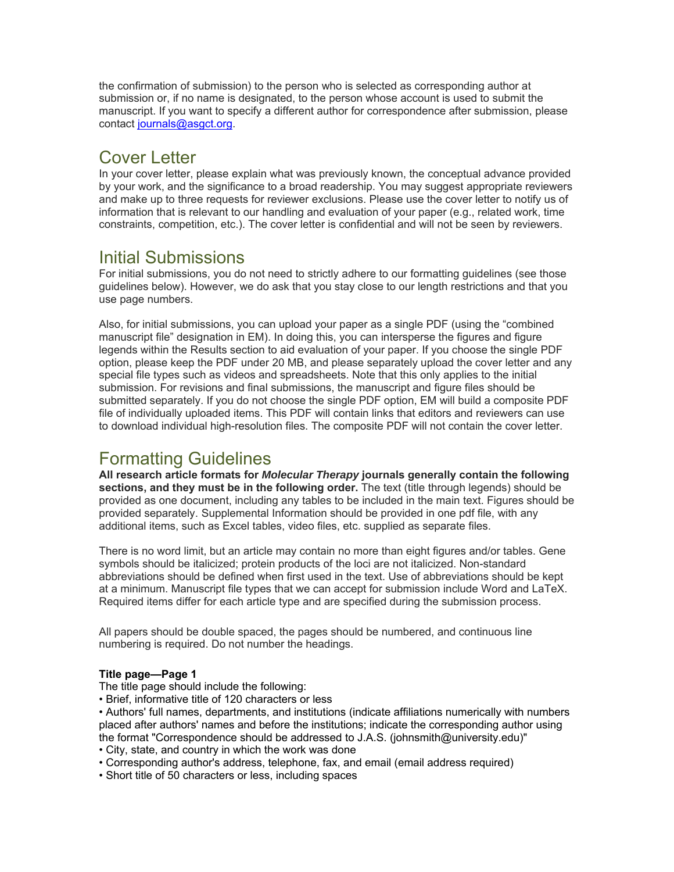the confirmation of submission) to the person who is selected as corresponding author at submission or, if no name is designated, to the person whose account is used to submit the manuscript. If you want to specify a different author for correspondence after submission, please contact journals@asgct.org.

### Cover Letter

In your cover letter, please explain what was previously known, the conceptual advance provided by your work, and the significance to a broad readership. You may suggest appropriate reviewers and make up to three requests for reviewer exclusions. Please use the cover letter to notify us of information that is relevant to our handling and evaluation of your paper (e.g., related work, time constraints, competition, etc.). The cover letter is confidential and will not be seen by reviewers.

### Initial Submissions

For initial submissions, you do not need to strictly adhere to our formatting guidelines (see those guidelines below). However, we do ask that you stay close to our length restrictions and that you use page numbers.

Also, for initial submissions, you can upload your paper as a single PDF (using the "combined manuscript file" designation in EM). In doing this, you can intersperse the figures and figure legends within the Results section to aid evaluation of your paper. If you choose the single PDF option, please keep the PDF under 20 MB, and please separately upload the cover letter and any special file types such as videos and spreadsheets. Note that this only applies to the initial submission. For revisions and final submissions, the manuscript and figure files should be submitted separately. If you do not choose the single PDF option, EM will build a composite PDF file of individually uploaded items. This PDF will contain links that editors and reviewers can use to download individual high-resolution files. The composite PDF will not contain the cover letter.

### Formatting Guidelines

**All research article formats for** *Molecular Therapy* **journals generally contain the following sections, and they must be in the following order.** The text (title through legends) should be provided as one document, including any tables to be included in the main text. Figures should be provided separately. Supplemental Information should be provided in one pdf file, with any additional items, such as Excel tables, video files, etc. supplied as separate files.

There is no word limit, but an article may contain no more than eight figures and/or tables. Gene symbols should be italicized; protein products of the loci are not italicized. Non-standard abbreviations should be defined when first used in the text. Use of abbreviations should be kept at a minimum. Manuscript file types that we can accept for submission include Word and LaTeX. Required items differ for each article type and are specified during the submission process.

All papers should be double spaced, the pages should be numbered, and continuous line numbering is required. Do not number the headings.

#### **Title page—Page 1**

- The title page should include the following:
- Brief, informative title of 120 characters or less

• Authors' full names, departments, and institutions (indicate affiliations numerically with numbers placed after authors' names and before the institutions; indicate the corresponding author using the format "Correspondence should be addressed to J.A.S. (johnsmith@university.edu)"

- City, state, and country in which the work was done
- Corresponding author's address, telephone, fax, and email (email address required)
- Short title of 50 characters or less, including spaces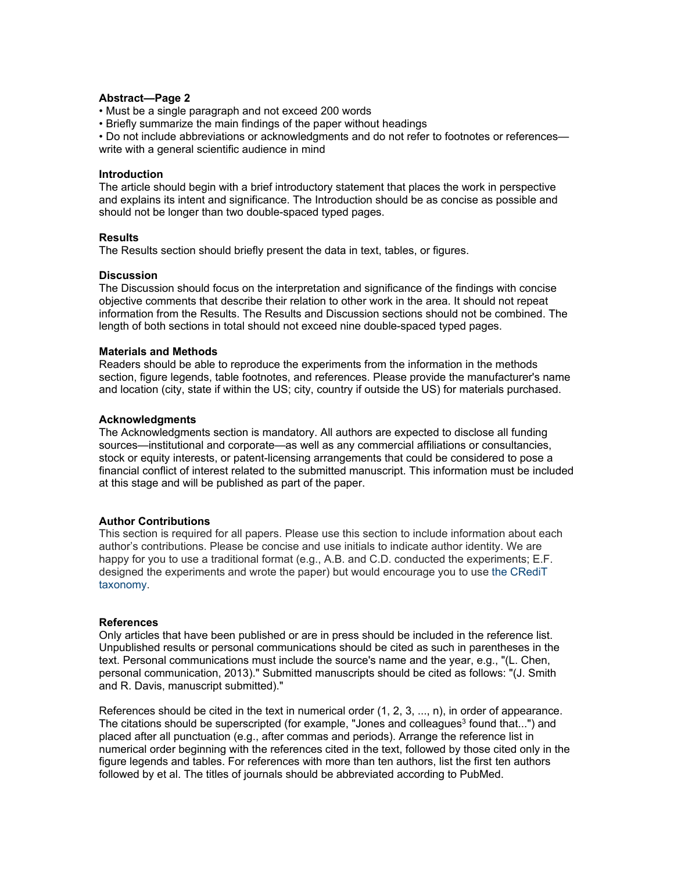#### **Abstract—Page 2**

- Must be a single paragraph and not exceed 200 words
- Briefly summarize the main findings of the paper without headings

• Do not include abbreviations or acknowledgments and do not refer to footnotes or references write with a general scientific audience in mind

#### **Introduction**

The article should begin with a brief introductory statement that places the work in perspective and explains its intent and significance. The Introduction should be as concise as possible and should not be longer than two double-spaced typed pages.

#### **Results**

The Results section should briefly present the data in text, tables, or figures.

#### **Discussion**

The Discussion should focus on the interpretation and significance of the findings with concise objective comments that describe their relation to other work in the area. It should not repeat information from the Results. The Results and Discussion sections should not be combined. The length of both sections in total should not exceed nine double-spaced typed pages.

#### **Materials and Methods**

Readers should be able to reproduce the experiments from the information in the methods section, figure legends, table footnotes, and references. Please provide the manufacturer's name and location (city, state if within the US; city, country if outside the US) for materials purchased.

#### **Acknowledgments**

The Acknowledgments section is mandatory. All authors are expected to disclose all funding sources—institutional and corporate—as well as any commercial affiliations or consultancies, stock or equity interests, or patent-licensing arrangements that could be considered to pose a financial conflict of interest related to the submitted manuscript. This information must be included at this stage and will be published as part of the paper.

#### **Author Contributions**

This section is required for all papers. Please use this section to include information about each author's contributions. Please be concise and use initials to indicate author identity. We are happy for you to use a traditional format (e.g., A.B. and C.D. conducted the experiments; E.F. designed the experiments and wrote the paper) but would encourage you to use the CRediT taxonomy.

#### **References**

Only articles that have been published or are in press should be included in the reference list. Unpublished results or personal communications should be cited as such in parentheses in the text. Personal communications must include the source's name and the year, e.g., "(L. Chen, personal communication, 2013)." Submitted manuscripts should be cited as follows: "(J. Smith and R. Davis, manuscript submitted)."

References should be cited in the text in numerical order (1, 2, 3, ..., n), in order of appearance. The citations should be superscripted (for example, "Jones and colleagues<sup>3</sup> found that...") and placed after all punctuation (e.g., after commas and periods). Arrange the reference list in numerical order beginning with the references cited in the text, followed by those cited only in the figure legends and tables. For references with more than ten authors, list the first ten authors followed by et al. The titles of journals should be abbreviated according to PubMed.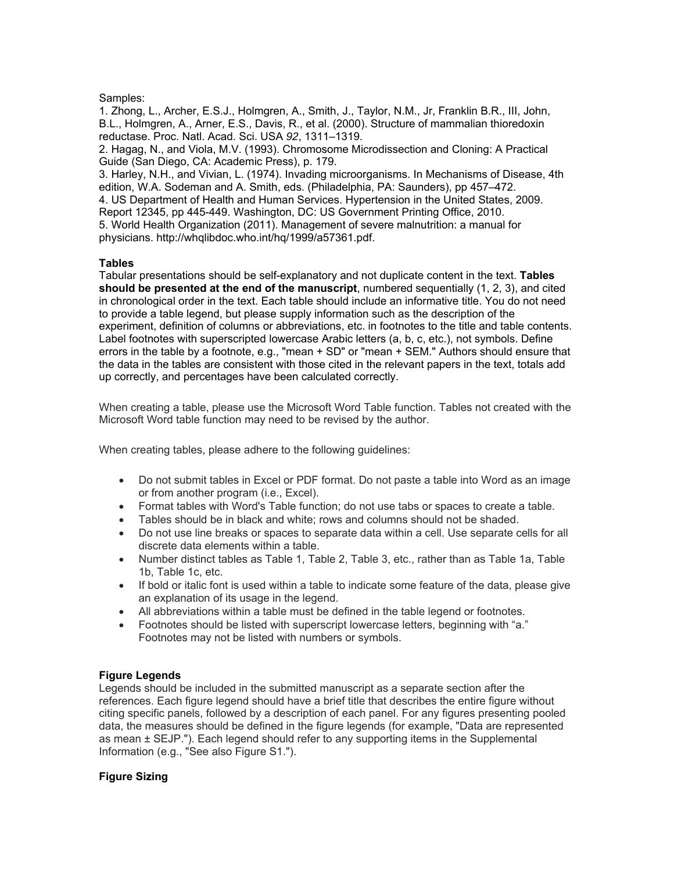#### Samples:

1. Zhong, L., Archer, E.S.J., Holmgren, A., Smith, J., Taylor, N.M., Jr, Franklin B.R., III, John, B.L., Holmgren, A., Arner, E.S., Davis, R., et al. (2000). Structure of mammalian thioredoxin reductase. Proc. Natl. Acad. Sci. USA *92*, 1311–1319.

2. Hagag, N., and Viola, M.V. (1993). Chromosome Microdissection and Cloning: A Practical Guide (San Diego, CA: Academic Press), p. 179.

3. Harley, N.H., and Vivian, L. (1974). Invading microorganisms. In Mechanisms of Disease, 4th edition, W.A. Sodeman and A. Smith, eds. (Philadelphia, PA: Saunders), pp 457–472.

4. US Department of Health and Human Services. Hypertension in the United States, 2009.

Report 12345, pp 445-449. Washington, DC: US Government Printing Office, 2010.

5. World Health Organization (2011). Management of severe malnutrition: a manual for physicians. http://whqlibdoc.who.int/hq/1999/a57361.pdf.

#### **Tables**

Tabular presentations should be self-explanatory and not duplicate content in the text. **Tables should be presented at the end of the manuscript**, numbered sequentially (1, 2, 3), and cited in chronological order in the text. Each table should include an informative title. You do not need to provide a table legend, but please supply information such as the description of the experiment, definition of columns or abbreviations, etc. in footnotes to the title and table contents. Label footnotes with superscripted lowercase Arabic letters (a, b, c, etc.), not symbols. Define errors in the table by a footnote, e.g., "mean + SD" or "mean + SEM." Authors should ensure that the data in the tables are consistent with those cited in the relevant papers in the text, totals add up correctly, and percentages have been calculated correctly.

When creating a table, please use the Microsoft Word Table function. Tables not created with the Microsoft Word table function may need to be revised by the author.

When creating tables, please adhere to the following guidelines:

- Do not submit tables in Excel or PDF format. Do not paste a table into Word as an image or from another program (i.e., Excel).
- Format tables with Word's Table function; do not use tabs or spaces to create a table.
- Tables should be in black and white; rows and columns should not be shaded.
- Do not use line breaks or spaces to separate data within a cell. Use separate cells for all discrete data elements within a table.
- Number distinct tables as Table 1, Table 2, Table 3, etc., rather than as Table 1a, Table 1b, Table 1c, etc.
- If bold or italic font is used within a table to indicate some feature of the data, please give an explanation of its usage in the legend.
- All abbreviations within a table must be defined in the table legend or footnotes.
- Footnotes should be listed with superscript lowercase letters, beginning with "a." Footnotes may not be listed with numbers or symbols.

#### **Figure Legends**

Legends should be included in the submitted manuscript as a separate section after the references. Each figure legend should have a brief title that describes the entire figure without citing specific panels, followed by a description of each panel. For any figures presenting pooled data, the measures should be defined in the figure legends (for example, "Data are represented as mean ± SEJP."). Each legend should refer to any supporting items in the Supplemental Information (e.g., "See also Figure S1.").

#### **Figure Sizing**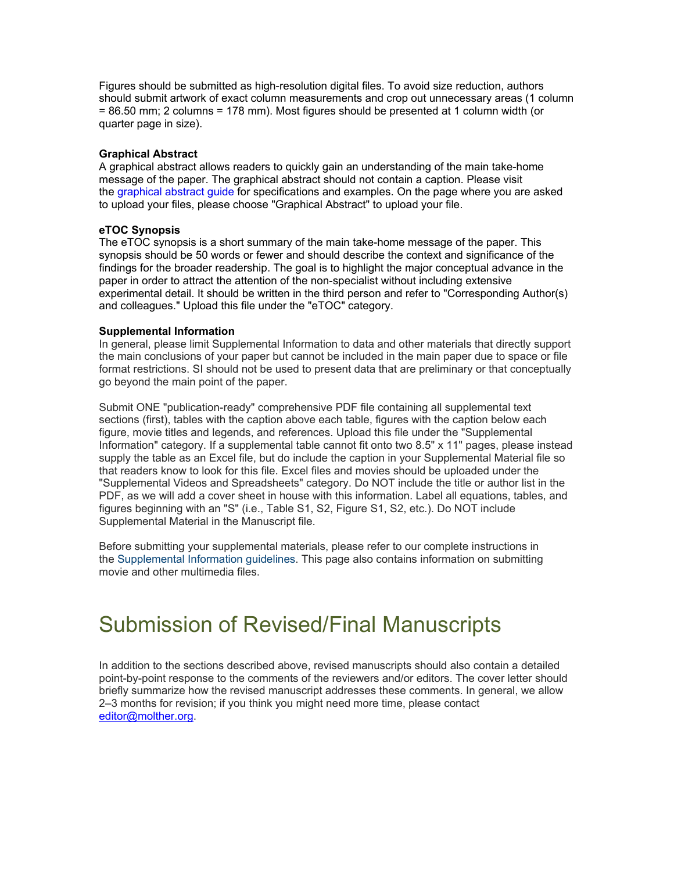Figures should be submitted as high-resolution digital files. To avoid size reduction, authors should submit artwork of exact column measurements and crop out unnecessary areas (1 column = 86.50 mm; 2 columns = 178 mm). Most figures should be presented at 1 column width (or quarter page in size).

#### **Graphical Abstract**

A graphical abstract allows readers to quickly gain an understanding of the main take-home message of the paper. The graphical abstract should not contain a caption. Please visit the graphical abstract guide for specifications and examples. On the page where you are asked to upload your files, please choose "Graphical Abstract" to upload your file.

#### **eTOC Synopsis**

The eTOC synopsis is a short summary of the main take-home message of the paper. This synopsis should be 50 words or fewer and should describe the context and significance of the findings for the broader readership. The goal is to highlight the major conceptual advance in the paper in order to attract the attention of the non-specialist without including extensive experimental detail. It should be written in the third person and refer to "Corresponding Author(s) and colleagues." Upload this file under the "eTOC" category.

#### **Supplemental Information**

In general, please limit Supplemental Information to data and other materials that directly support the main conclusions of your paper but cannot be included in the main paper due to space or file format restrictions. SI should not be used to present data that are preliminary or that conceptually go beyond the main point of the paper.

Submit ONE "publication-ready" comprehensive PDF file containing all supplemental text sections (first), tables with the caption above each table, figures with the caption below each figure, movie titles and legends, and references. Upload this file under the "Supplemental Information" category. If a supplemental table cannot fit onto two 8.5" x 11" pages, please instead supply the table as an Excel file, but do include the caption in your Supplemental Material file so that readers know to look for this file. Excel files and movies should be uploaded under the "Supplemental Videos and Spreadsheets" category. Do NOT include the title or author list in the PDF, as we will add a cover sheet in house with this information. Label all equations, tables, and figures beginning with an "S" (i.e., Table S1, S2, Figure S1, S2, etc.). Do NOT include Supplemental Material in the Manuscript file.

Before submitting your supplemental materials, please refer to our complete instructions in the Supplemental Information guidelines. This page also contains information on submitting movie and other multimedia files.

# Submission of Revised/Final Manuscripts

In addition to the sections described above, revised manuscripts should also contain a detailed point-by-point response to the comments of the reviewers and/or editors. The cover letter should briefly summarize how the revised manuscript addresses these comments. In general, we allow 2–3 months for revision; if you think you might need more time, please contact editor@molther.org.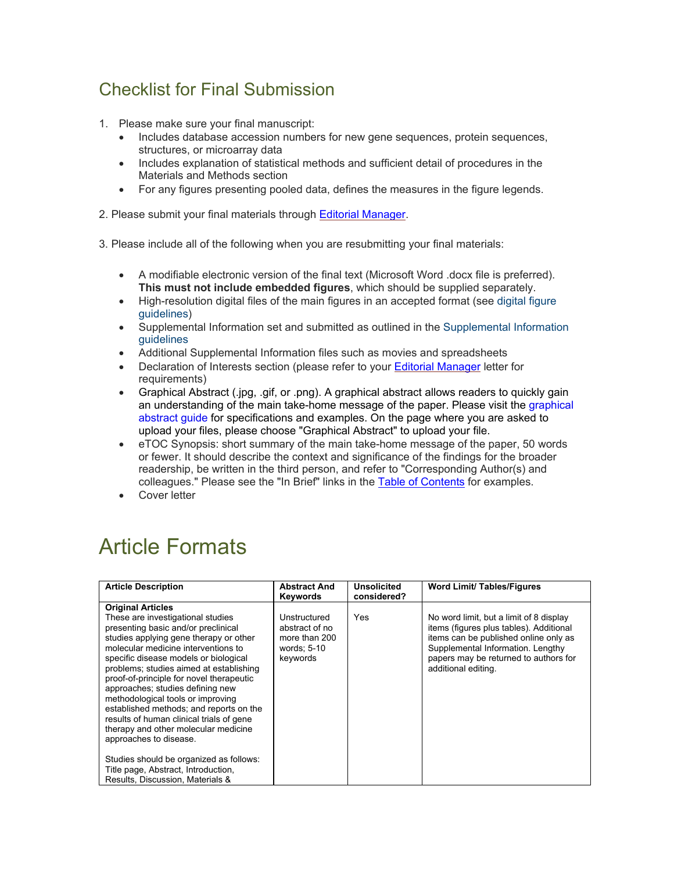## Checklist for Final Submission

- 1. Please make sure your final manuscript:
	- Includes database accession numbers for new gene sequences, protein sequences, structures, or microarray data
	- Includes explanation of statistical methods and sufficient detail of procedures in the Materials and Methods section
	- For any figures presenting pooled data, defines the measures in the figure legends.
- 2. Please submit your final materials through Editorial Manager.
- 3. Please include all of the following when you are resubmitting your final materials:
	- A modifiable electronic version of the final text (Microsoft Word .docx file is preferred). **This must not include embedded figures**, which should be supplied separately.
	- High-resolution digital files of the main figures in an accepted format (see digital figure guidelines)
	- Supplemental Information set and submitted as outlined in the Supplemental Information guidelines
	- Additional Supplemental Information files such as movies and spreadsheets
	- Declaration of Interests section (please refer to your Editorial Manager letter for requirements)
	- Graphical Abstract (.jpg, .gif, or .png). A graphical abstract allows readers to quickly gain an understanding of the main take-home message of the paper. Please visit the graphical abstract guide for specifications and examples. On the page where you are asked to upload your files, please choose "Graphical Abstract" to upload your file.
	- eTOC Synopsis: short summary of the main take-home message of the paper, 50 words or fewer. It should describe the context and significance of the findings for the broader readership, be written in the third person, and refer to "Corresponding Author(s) and colleagues." Please see the "In Brief" links in the Table of Contents for examples.
	- **Cover letter**

# Article Formats

| <b>Article Description</b>                                                                                                                                                                                                                                                                                                                                                                                                                                                                                                                                                                                                                        | <b>Abstract And</b>                                                        | Unsolicited | <b>Word Limit/ Tables/Figures</b>                                                                                                                                                                                                |
|---------------------------------------------------------------------------------------------------------------------------------------------------------------------------------------------------------------------------------------------------------------------------------------------------------------------------------------------------------------------------------------------------------------------------------------------------------------------------------------------------------------------------------------------------------------------------------------------------------------------------------------------------|----------------------------------------------------------------------------|-------------|----------------------------------------------------------------------------------------------------------------------------------------------------------------------------------------------------------------------------------|
|                                                                                                                                                                                                                                                                                                                                                                                                                                                                                                                                                                                                                                                   | Keywords                                                                   | considered? |                                                                                                                                                                                                                                  |
| <b>Original Articles</b>                                                                                                                                                                                                                                                                                                                                                                                                                                                                                                                                                                                                                          |                                                                            |             |                                                                                                                                                                                                                                  |
| These are investigational studies<br>presenting basic and/or preclinical<br>studies applying gene therapy or other<br>molecular medicine interventions to<br>specific disease models or biological<br>problems; studies aimed at establishing<br>proof-of-principle for novel therapeutic<br>approaches; studies defining new<br>methodological tools or improving<br>established methods; and reports on the<br>results of human clinical trials of gene<br>therapy and other molecular medicine<br>approaches to disease.<br>Studies should be organized as follows:<br>Title page, Abstract, Introduction,<br>Results, Discussion, Materials & | Unstructured<br>abstract of no<br>more than 200<br>words; 5-10<br>keywords | Yes         | No word limit, but a limit of 8 display<br>items (figures plus tables). Additional<br>items can be published online only as<br>Supplemental Information. Lengthy<br>papers may be returned to authors for<br>additional editing. |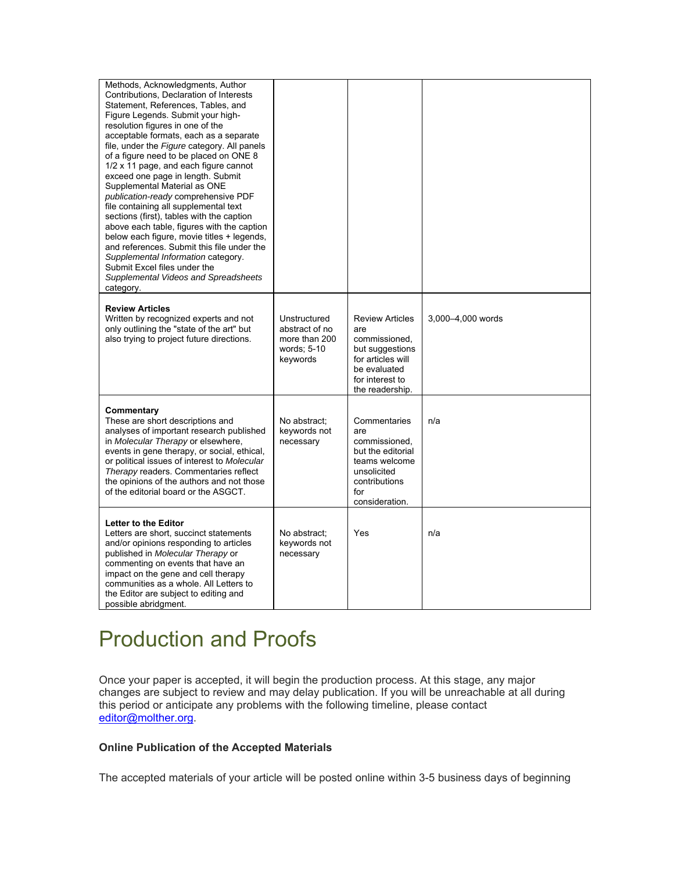| Methods, Acknowledgments, Author<br>Contributions, Declaration of Interests<br>Statement, References, Tables, and<br>Figure Legends. Submit your high-<br>resolution figures in one of the<br>acceptable formats, each as a separate<br>file, under the Figure category. All panels<br>of a figure need to be placed on ONE 8<br>1/2 x 11 page, and each figure cannot<br>exceed one page in length. Submit<br>Supplemental Material as ONE<br>publication-ready comprehensive PDF<br>file containing all supplemental text<br>sections (first), tables with the caption<br>above each table, figures with the caption<br>below each figure, movie titles + legends,<br>and references. Submit this file under the<br>Supplemental Information category.<br>Submit Excel files under the<br>Supplemental Videos and Spreadsheets<br>category. |                                                                            |                                                                                                                                              |                   |
|-----------------------------------------------------------------------------------------------------------------------------------------------------------------------------------------------------------------------------------------------------------------------------------------------------------------------------------------------------------------------------------------------------------------------------------------------------------------------------------------------------------------------------------------------------------------------------------------------------------------------------------------------------------------------------------------------------------------------------------------------------------------------------------------------------------------------------------------------|----------------------------------------------------------------------------|----------------------------------------------------------------------------------------------------------------------------------------------|-------------------|
| <b>Review Articles</b><br>Written by recognized experts and not<br>only outlining the "state of the art" but<br>also trying to project future directions.                                                                                                                                                                                                                                                                                                                                                                                                                                                                                                                                                                                                                                                                                     | Unstructured<br>abstract of no<br>more than 200<br>words; 5-10<br>keywords | <b>Review Articles</b><br>are<br>commissioned,<br>but suggestions<br>for articles will<br>be evaluated<br>for interest to<br>the readership. | 3,000-4,000 words |
| Commentary<br>These are short descriptions and<br>analyses of important research published<br>in Molecular Therapy or elsewhere,<br>events in gene therapy, or social, ethical,<br>or political issues of interest to Molecular<br>Therapy readers. Commentaries reflect<br>the opinions of the authors and not those<br>of the editorial board or the ASGCT.                                                                                                                                                                                                                                                                                                                                                                                                                                                                                 | No abstract;<br>keywords not<br>necessary                                  | Commentaries<br>are<br>commissioned.<br>but the editorial<br>teams welcome<br>unsolicited<br>contributions<br>for<br>consideration.          | n/a               |
| <b>Letter to the Editor</b><br>Letters are short, succinct statements<br>and/or opinions responding to articles<br>published in Molecular Therapy or<br>commenting on events that have an<br>impact on the gene and cell therapy<br>communities as a whole. All Letters to<br>the Editor are subject to editing and<br>possible abridgment.                                                                                                                                                                                                                                                                                                                                                                                                                                                                                                   | No abstract:<br>keywords not<br>necessary                                  | Yes                                                                                                                                          | n/a               |

# Production and Proofs

Once your paper is accepted, it will begin the production process. At this stage, any major changes are subject to review and may delay publication. If you will be unreachable at all during this period or anticipate any problems with the following timeline, please contact editor@molther.org.

#### **Online Publication of the Accepted Materials**

The accepted materials of your article will be posted online within 3-5 business days of beginning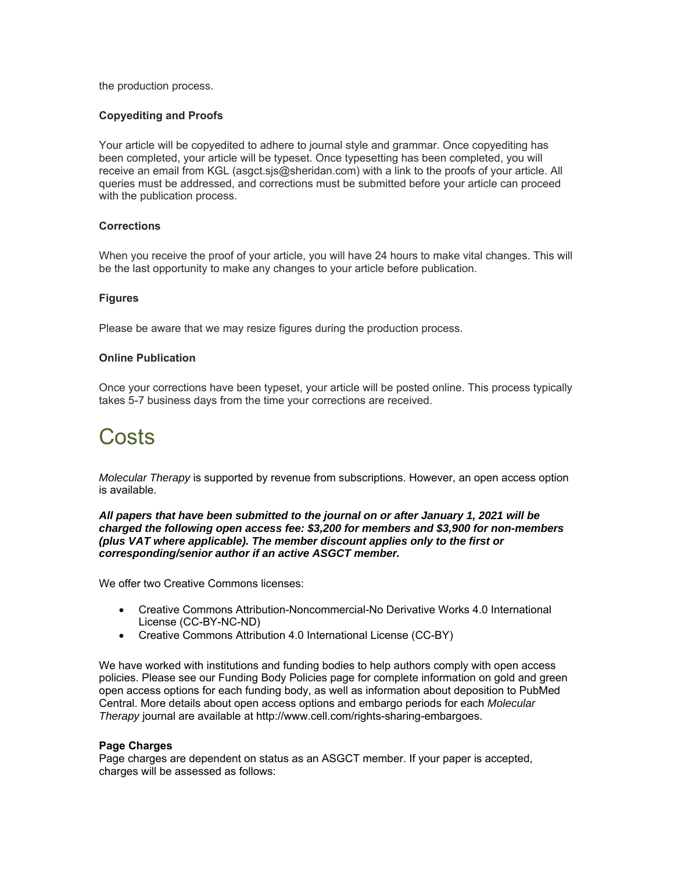the production process.

#### **Copyediting and Proofs**

Your article will be copyedited to adhere to journal style and grammar. Once copyediting has been completed, your article will be typeset. Once typesetting has been completed, you will receive an email from KGL (asgct.sjs@sheridan.com) with a link to the proofs of your article. All queries must be addressed, and corrections must be submitted before your article can proceed with the publication process.

#### **Corrections**

When you receive the proof of your article, you will have 24 hours to make vital changes. This will be the last opportunity to make any changes to your article before publication.

#### **Figures**

Please be aware that we may resize figures during the production process.

#### **Online Publication**

Once your corrections have been typeset, your article will be posted online. This process typically takes 5-7 business days from the time your corrections are received.

# Costs

*Molecular Therapy* is supported by revenue from subscriptions. However, an open access option is available.

*All papers that have been submitted to the journal on or after January 1, 2021 will be charged the following open access fee: \$3,200 for members and \$3,900 for non-members (plus VAT where applicable). The member discount applies only to the first or corresponding/senior author if an active ASGCT member.* 

We offer two Creative Commons licenses:

- Creative Commons Attribution-Noncommercial-No Derivative Works 4.0 International License (CC-BY-NC-ND)
- Creative Commons Attribution 4.0 International License (CC-BY)

We have worked with institutions and funding bodies to help authors comply with open access policies. Please see our Funding Body Policies page for complete information on gold and green open access options for each funding body, as well as information about deposition to PubMed Central. More details about open access options and embargo periods for each *Molecular Therapy* journal are available at http://www.cell.com/rights-sharing-embargoes.

#### **Page Charges**

Page charges are dependent on status as an ASGCT member. If your paper is accepted, charges will be assessed as follows: